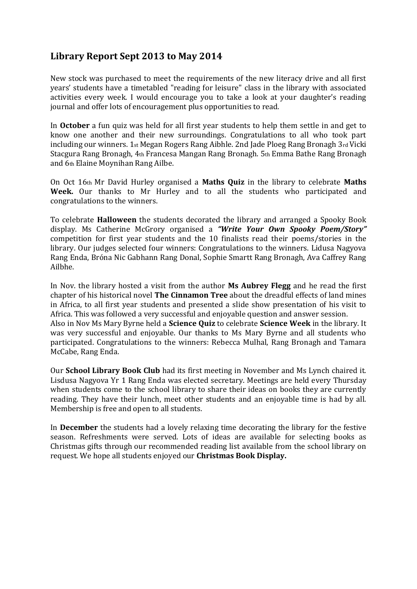## **Library Report Sept 2013 to May 2014**

New stock was purchased to meet the requirements of the new literacy drive and all first years' students have a timetabled "reading for leisure" class in the library with associated activities every week. I would encourage you to take a look at your daughter's reading journal and offer lots of encouragement plus opportunities to read.

In **October** a fun quiz was held for all first year students to help them settle in and get to know one another and their new surroundings. Congratulations to all who took part including our winners. 1st Megan Rogers Rang Aibhle. 2nd Jade Ploeg Rang Bronagh 3rd Vicki Stacgura Rang Bronagh, 4th Francesa Mangan Rang Bronagh. 5th Emma Bathe Rang Bronagh and 6th Elaine Moynihan Rang Ailbe.

On Oct 16th Mr David Hurley organised a **Maths Quiz** in the library to celebrate **Maths Week.** Our thanks to Mr Hurley and to all the students who participated and congratulations to the winners.

To celebrate **Halloween** the students decorated the library and arranged a Spooky Book display. Ms Catherine McGrory organised a *"Write Your Own Spooky Poem/Story"*  competition for first year students and the 10 finalists read their poems/stories in the library. Our judges selected four winners: Congratulations to the winners. Lidusa Nagyova Rang Enda, Bróna Nic Gabhann Rang Donal, Sophie Smartt Rang Bronagh, Ava Caffrey Rang Ailbhe.

In Nov. the library hosted a visit from the author **Ms Aubrey Flegg** and he read the first chapter of his historical novel **The Cinnamon Tree** about the dreadful effects of land mines in Africa, to all first year students and presented a slide show presentation of his visit to Africa. This was followed a very successful and enjoyable question and answer session. Also in Nov Ms Mary Byrne held a **Science Quiz** to celebrate **Science Week** in the library. It was very successful and enjoyable. Our thanks to Ms Mary Byrne and all students who participated. Congratulations to the winners: Rebecca Mulhal, Rang Bronagh and Tamara McCabe, Rang Enda.

Our **School Library Book Club** had its first meeting in November and Ms Lynch chaired it. Lisdusa Nagyova Yr 1 Rang Enda was elected secretary. Meetings are held every Thursday when students come to the school library to share their ideas on books they are currently reading. They have their lunch, meet other students and an enjoyable time is had by all. Membership is free and open to all students.

In **December** the students had a lovely relaxing time decorating the library for the festive season. Refreshments were served. Lots of ideas are available for selecting books as Christmas gifts through our recommended reading list available from the school library on request. We hope all students enjoyed our **Christmas Book Display.**